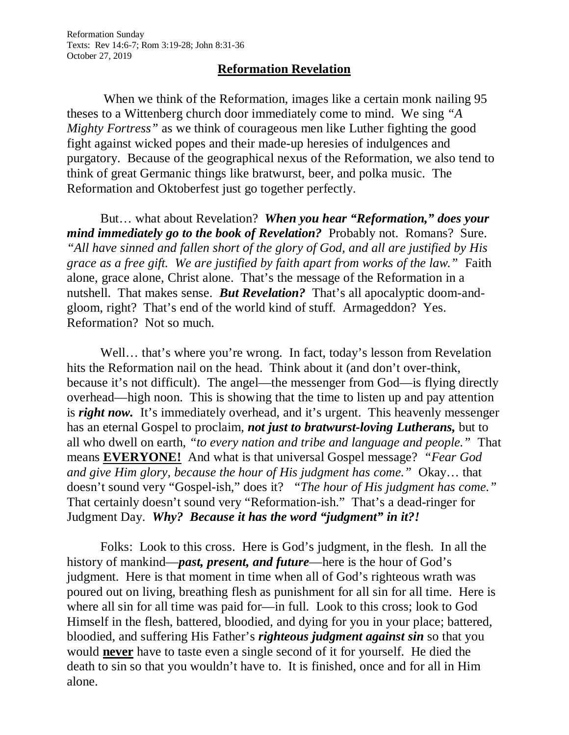## **Reformation Revelation**

When we think of the Reformation, images like a certain monk nailing 95 theses to a Wittenberg church door immediately come to mind. We sing *"A Mighty Fortress"* as we think of courageous men like Luther fighting the good fight against wicked popes and their made-up heresies of indulgences and purgatory. Because of the geographical nexus of the Reformation, we also tend to think of great Germanic things like bratwurst, beer, and polka music. The Reformation and Oktoberfest just go together perfectly.

But… what about Revelation? *When you hear "Reformation," does your mind immediately go to the book of Revelation?* Probably not. Romans? Sure. *"All have sinned and fallen short of the glory of God, and all are justified by His grace as a free gift. We are justified by faith apart from works of the law."* Faith alone, grace alone, Christ alone. That's the message of the Reformation in a nutshell. That makes sense. *But Revelation?* That's all apocalyptic doom-andgloom, right? That's end of the world kind of stuff. Armageddon? Yes. Reformation? Not so much.

Well... that's where you're wrong. In fact, today's lesson from Revelation hits the Reformation nail on the head. Think about it (and don't over-think, because it's not difficult). The angel—the messenger from God—is flying directly overhead—high noon. This is showing that the time to listen up and pay attention is *right now.* It's immediately overhead, and it's urgent. This heavenly messenger has an eternal Gospel to proclaim, *not just to bratwurst-loving Lutherans,* but to all who dwell on earth, *"to every nation and tribe and language and people."* That means **EVERYONE!** And what is that universal Gospel message? *"Fear God and give Him glory, because the hour of His judgment has come."* Okay… that doesn't sound very "Gospel-ish," does it? *"The hour of His judgment has come."* That certainly doesn't sound very "Reformation-ish." That's a dead-ringer for Judgment Day. *Why? Because it has the word "judgment" in it?!*

Folks: Look to this cross. Here is God's judgment, in the flesh. In all the history of mankind—*past, present, and future*—here is the hour of God's judgment. Here is that moment in time when all of God's righteous wrath was poured out on living, breathing flesh as punishment for all sin for all time. Here is where all sin for all time was paid for—in full. Look to this cross; look to God Himself in the flesh, battered, bloodied, and dying for you in your place; battered, bloodied, and suffering His Father's *righteous judgment against sin* so that you would **never** have to taste even a single second of it for yourself. He died the death to sin so that you wouldn't have to. It is finished, once and for all in Him alone.